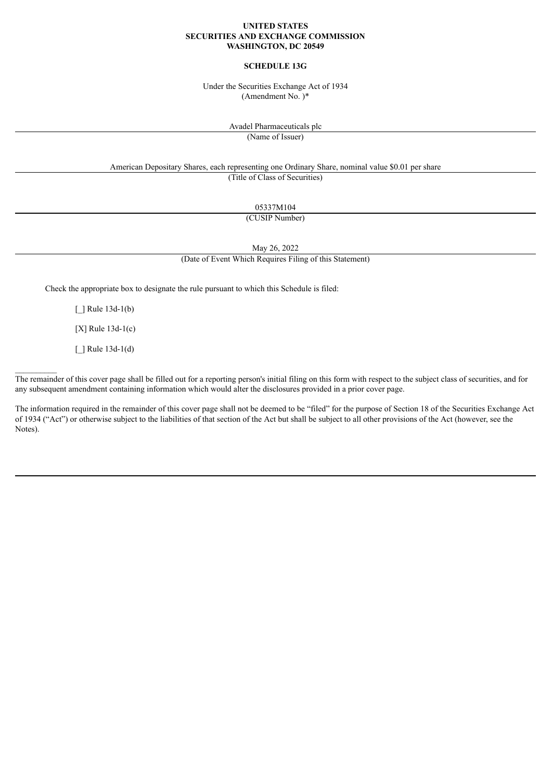## **UNITED STATES SECURITIES AND EXCHANGE COMMISSION WASHINGTON, DC 20549**

# **SCHEDULE 13G**

Under the Securities Exchange Act of 1934 (Amendment No. )\*

Avadel Pharmaceuticals plc

(Name of Issuer)

American Depositary Shares, each representing one Ordinary Share, nominal value \$0.01 per share (Title of Class of Securities)

05337M104

(CUSIP Number)

May 26, 2022

(Date of Event Which Requires Filing of this Statement)

Check the appropriate box to designate the rule pursuant to which this Schedule is filed:

 $\lceil$  | Rule 13d-1(b)

[X] Rule 13d-1(c)

 $\lceil$  | Rule 13d-1(d)

 $\frac{1}{2}$ 

The remainder of this cover page shall be filled out for a reporting person's initial filing on this form with respect to the subject class of securities, and for any subsequent amendment containing information which would alter the disclosures provided in a prior cover page.

The information required in the remainder of this cover page shall not be deemed to be "filed" for the purpose of Section 18 of the Securities Exchange Act of 1934 ("Act") or otherwise subject to the liabilities of that section of the Act but shall be subject to all other provisions of the Act (however, see the Notes).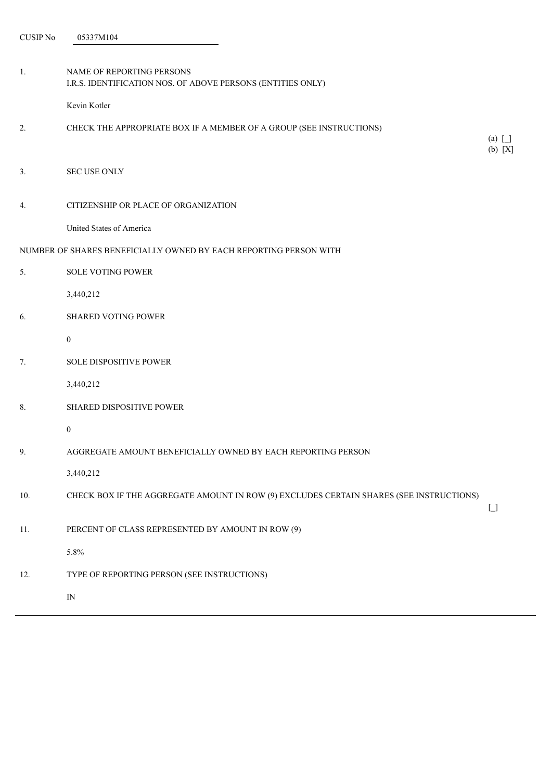| 1.                                                                | NAME OF REPORTING PERSONS<br>I.R.S. IDENTIFICATION NOS. OF ABOVE PERSONS (ENTITIES ONLY) |                                        |  |  |  |
|-------------------------------------------------------------------|------------------------------------------------------------------------------------------|----------------------------------------|--|--|--|
|                                                                   | Kevin Kotler                                                                             |                                        |  |  |  |
| 2.                                                                | CHECK THE APPROPRIATE BOX IF A MEMBER OF A GROUP (SEE INSTRUCTIONS)                      | $(a)$ $\Box$<br>(b) [X]                |  |  |  |
| 3.                                                                | <b>SEC USE ONLY</b>                                                                      |                                        |  |  |  |
| 4.                                                                | CITIZENSHIP OR PLACE OF ORGANIZATION                                                     |                                        |  |  |  |
|                                                                   | United States of America                                                                 |                                        |  |  |  |
| NUMBER OF SHARES BENEFICIALLY OWNED BY EACH REPORTING PERSON WITH |                                                                                          |                                        |  |  |  |
| 5 <sub>1</sub>                                                    | <b>SOLE VOTING POWER</b>                                                                 |                                        |  |  |  |
|                                                                   | 3,440,212                                                                                |                                        |  |  |  |
| 6.                                                                | <b>SHARED VOTING POWER</b>                                                               |                                        |  |  |  |
|                                                                   | $\overline{0}$                                                                           |                                        |  |  |  |
| 7.                                                                | SOLE DISPOSITIVE POWER                                                                   |                                        |  |  |  |
|                                                                   | 3,440,212                                                                                |                                        |  |  |  |
| 8.                                                                | SHARED DISPOSITIVE POWER                                                                 |                                        |  |  |  |
|                                                                   | $\boldsymbol{0}$                                                                         |                                        |  |  |  |
| 9.                                                                | AGGREGATE AMOUNT BENEFICIALLY OWNED BY EACH REPORTING PERSON                             |                                        |  |  |  |
|                                                                   | 3,440,212                                                                                |                                        |  |  |  |
| 10.                                                               | CHECK BOX IF THE AGGREGATE AMOUNT IN ROW (9) EXCLUDES CERTAIN SHARES (SEE INSTRUCTIONS)  | $\begin{bmatrix} 1 \\ 1 \end{bmatrix}$ |  |  |  |
| 11.                                                               | PERCENT OF CLASS REPRESENTED BY AMOUNT IN ROW (9)                                        |                                        |  |  |  |
|                                                                   | 5.8%                                                                                     |                                        |  |  |  |
| 12.                                                               | TYPE OF REPORTING PERSON (SEE INSTRUCTIONS)                                              |                                        |  |  |  |
|                                                                   | $\hbox{IN}$                                                                              |                                        |  |  |  |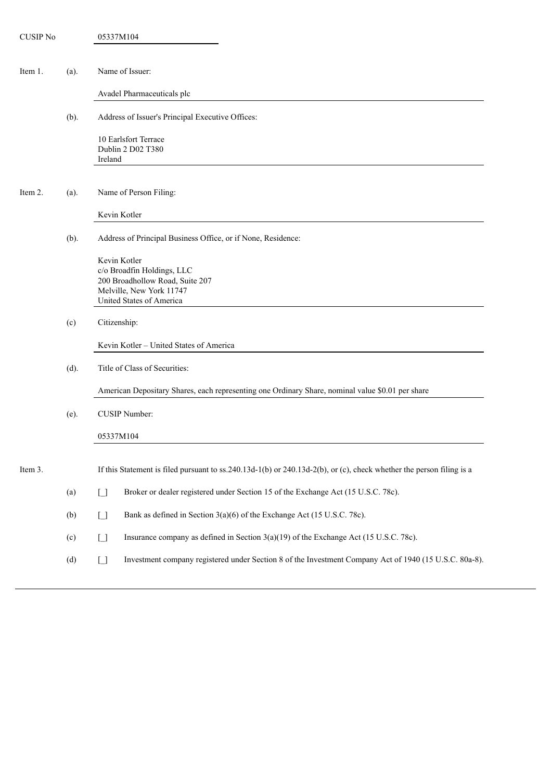| <b>CUSIP No</b> |         | 05337M104                                                                                                                             |
|-----------------|---------|---------------------------------------------------------------------------------------------------------------------------------------|
|                 |         |                                                                                                                                       |
| Item 1.         | $(a)$ . | Name of Issuer:                                                                                                                       |
|                 |         | Avadel Pharmaceuticals plc                                                                                                            |
|                 | (b).    | Address of Issuer's Principal Executive Offices:                                                                                      |
|                 |         | 10 Earlsfort Terrace<br>Dublin 2 D02 T380<br>Ireland                                                                                  |
| Item 2.         | $(a)$ . | Name of Person Filing:                                                                                                                |
|                 |         | Kevin Kotler                                                                                                                          |
|                 | $(b)$ . | Address of Principal Business Office, or if None, Residence:                                                                          |
|                 |         | Kevin Kotler<br>c/o Broadfin Holdings, LLC<br>200 Broadhollow Road, Suite 207<br>Melville, New York 11747<br>United States of America |
|                 | (c)     | Citizenship:                                                                                                                          |
|                 |         | Kevin Kotler - United States of America                                                                                               |
|                 | $(d)$ . | Title of Class of Securities:                                                                                                         |
|                 |         | American Depositary Shares, each representing one Ordinary Share, nominal value \$0.01 per share                                      |
|                 | $(e)$ . | <b>CUSIP Number:</b>                                                                                                                  |
|                 |         | 05337M104                                                                                                                             |
| Item 3.         |         | If this Statement is filed pursuant to ss.240.13d-1(b) or 240.13d-2(b), or (c), check whether the person filing is a                  |
|                 | (a)     | Broker or dealer registered under Section 15 of the Exchange Act (15 U.S.C. 78c).<br>$\begin{bmatrix} 1 \\ 1 \end{bmatrix}$           |
|                 | (b)     | Bank as defined in Section 3(a)(6) of the Exchange Act (15 U.S.C. 78c).<br>$\begin{bmatrix} 1 \\ 1 \end{bmatrix}$                     |
|                 | (c)     | Insurance company as defined in Section 3(a)(19) of the Exchange Act (15 U.S.C. 78c).<br>$\begin{bmatrix} 1 \\ 1 \end{bmatrix}$       |
|                 |         |                                                                                                                                       |
|                 | (d)     | Investment company registered under Section 8 of the Investment Company Act of 1940 (15 U.S.C. 80a-8).<br>$\Box$                      |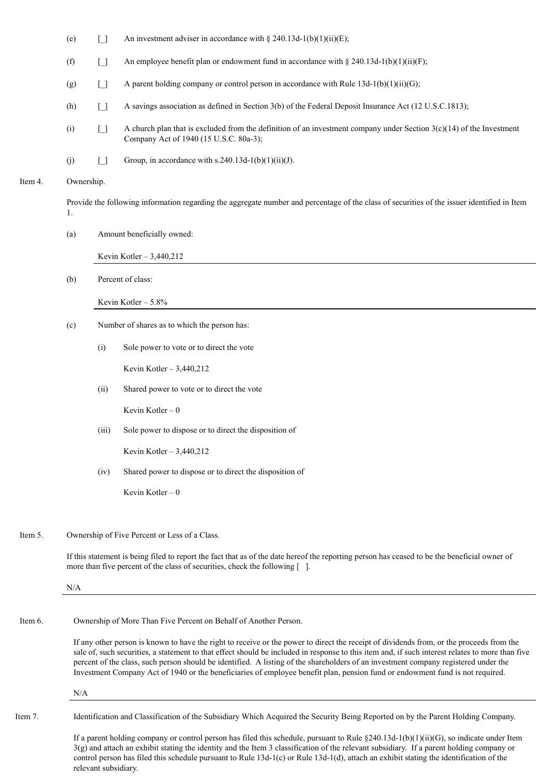- (e)  $\boxed{\ }$  An investment adviser in accordance with § 240.13d-1(b)(1)(ii)(E);
- (f)  $\Box$  An employee benefit plan or endowment fund in accordance with § 240.13d-1(b)(1)(ii)(F);
- (g)  $\Box$  A parent holding company or control person in accordance with Rule 13d-1(b)(1)(ii)(G);
- (h) [] A savings association as defined in Section 3(b) of the Federal Deposit Insurance Act (12 U.S.C.1813);
- (i)  $\begin{bmatrix} 1 \end{bmatrix}$  A church plan that is excluded from the definition of an investment company under Section 3(c)(14) of the Investment Company Act of 1940 (15 U.S.C. 80a-3);
- (i)  $\qquad$  [] Group, in accordance with s.240.13d-1(b)(1)(ii)(J).

#### Item 4. Ownership.

Provide the following information regarding the aggregate number and percentage of the class of securities of the issuer identified in Item 1.

(a) Amount beneficially owned:

Kevin Kotler – 3,440,212

(b) Percent of class:

Kevin Kotler – 5.8%

- (c) Number of shares as to which the person has:
	- (i) Sole power to vote or to direct the vote

Kevin Kotler – 3,440,212

(ii) Shared power to vote or to direct the vote

Kevin Kotler – 0

(iii) Sole power to dispose or to direct the disposition of

Kevin Kotler – 3,440,212

(iv) Shared power to dispose or to direct the disposition of

Kevin Kotler  $-0$ 

## Item 5. Ownership of Five Percent or Less of a Class.

If this statement is being filed to report the fact that as of the date hereof the reporting person has ceased to be the beneficial owner of more than five percent of the class of securities, check the following [ ].

N/A

Item 6. Ownership of More Than Five Percent on Behalf of Another Person.

If any other person is known to have the right to receive or the power to direct the receipt of dividends from, or the proceeds from the sale of, such securities, a statement to that effect should be included in response to this item and, if such interest relates to more than five percent of the class, such person should be identified. A listing of the shareholders of an investment company registered under the Investment Company Act of 1940 or the beneficiaries of employee benefit plan, pension fund or endowment fund is not required.

N/A

Item 7. Identification and Classification of the Subsidiary Which Acquired the Security Being Reported on by the Parent Holding Company.

If a parent holding company or control person has filed this schedule, pursuant to Rule  $\S 240.13d-1(b)(1)(ii)(G)$ , so indicate under Item  $3(g)$  and attach an exhibit stating the identity and the Item 3 classification of the relevant subsidiary. If a parent holding company or control person has filed this schedule pursuant to Rule 13d-1(c) or Rule 13d-1(d), attach an exhibit stating the identification of the relevant subsidiary.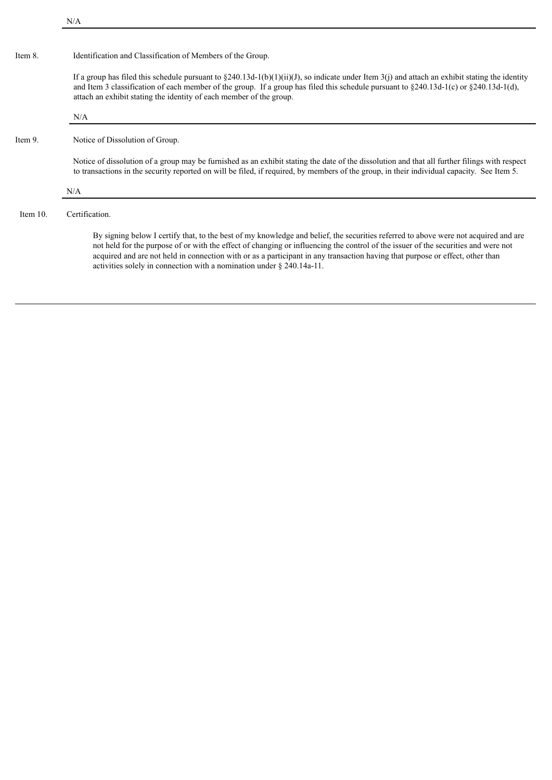| Item 8.     | Identification and Classification of Members of the Group.                                                                                                                                                                                                                                                                                                                                                                                                                             |
|-------------|----------------------------------------------------------------------------------------------------------------------------------------------------------------------------------------------------------------------------------------------------------------------------------------------------------------------------------------------------------------------------------------------------------------------------------------------------------------------------------------|
|             | If a group has filed this schedule pursuant to §240.13d-1(b)(1)(ii)(J), so indicate under Item 3(j) and attach an exhibit stating the identity<br>and Item 3 classification of each member of the group. If a group has filed this schedule pursuant to $\S 240.13d-1(c)$ or $\S 240.13d-1(d)$ ,<br>attach an exhibit stating the identity of each member of the group.                                                                                                                |
|             | N/A                                                                                                                                                                                                                                                                                                                                                                                                                                                                                    |
| Item 9.     | Notice of Dissolution of Group.                                                                                                                                                                                                                                                                                                                                                                                                                                                        |
|             | Notice of dissolution of a group may be furnished as an exhibit stating the date of the dissolution and that all further filings with respect<br>to transactions in the security reported on will be filed, if required, by members of the group, in their individual capacity. See Item 5.                                                                                                                                                                                            |
|             | N/A                                                                                                                                                                                                                                                                                                                                                                                                                                                                                    |
| Item $10$ . | Certification.                                                                                                                                                                                                                                                                                                                                                                                                                                                                         |
|             | By signing below I certify that, to the best of my knowledge and belief, the securities referred to above were not acquired and are<br>not held for the purpose of or with the effect of changing or influencing the control of the issuer of the securities and were not<br>acquired and are not held in connection with or as a participant in any transaction having that purpose or effect, other than<br>activities solely in connection with a nomination under $\S$ 240.14a-11. |